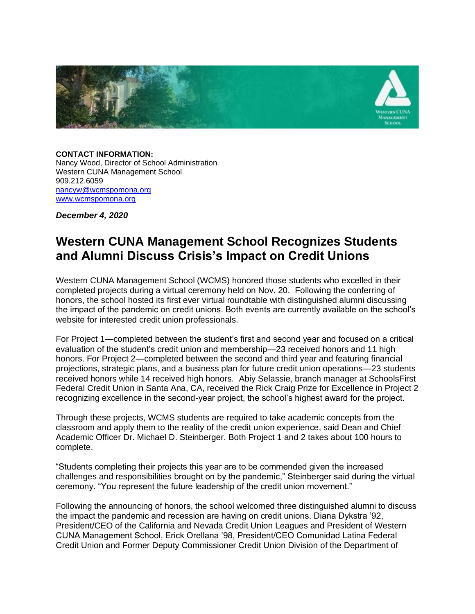

**CONTACT INFORMATION:** Nancy Wood, Director of School Administration Western CUNA Management School 909.212.6059 [nancyw@wcmspomona.org](mailto:nancyw@wcmspomona.org) [www.wcmspomona.org](https://nam10.safelinks.protection.outlook.com/?url=http%3A%2F%2Fwww.wcmspomona.org%2F&data=04%7C01%7CMichael.Steinberger%40pomona.edu%7C384fc4d77738413a187208d89881cd41%7C817f590439044ee8b3a5a65d4746ff70%7C0%7C0%7C637427030547065925%7CUnknown%7CTWFpbGZsb3d8eyJWIjoiMC4wLjAwMDAiLCJQIjoiV2luMzIiLCJBTiI6Ik1haWwiLCJXVCI6Mn0%3D%7C1000&sdata=avfA2N0qDqeIAfESPf6FojUtpjQcClS%2BSS%2BUXf2nZXI%3D&reserved=0)

*December 4, 2020*

# **Western CUNA Management School Recognizes Students and Alumni Discuss Crisis's Impact on Credit Unions**

Western CUNA Management School (WCMS) honored those students who excelled in their completed projects during a virtual ceremony held on Nov. 20. Following the conferring of honors, the school hosted its first ever virtual roundtable with distinguished alumni discussing the impact of the pandemic on credit unions. Both events are currently available on the school's website for interested credit union professionals.

For Project 1—completed between the student's first and second year and focused on a critical evaluation of the student's credit union and membership—23 received honors and 11 high honors. For Project 2—completed between the second and third year and featuring financial projections, strategic plans, and a business plan for future credit union operations—23 students received honors while 14 received high honors. Abiy Selassie, branch manager at SchoolsFirst Federal Credit Union in Santa Ana, CA, received the Rick Craig Prize for Excellence in Project 2 recognizing excellence in the second-year project, the school's highest award for the project.

Through these projects, WCMS students are required to take academic concepts from the classroom and apply them to the reality of the credit union experience, said Dean and Chief Academic Officer Dr. Michael D. Steinberger. Both Project 1 and 2 takes about 100 hours to complete.

"Students completing their projects this year are to be commended given the increased challenges and responsibilities brought on by the pandemic," Steinberger said during the virtual ceremony. "You represent the future leadership of the credit union movement."

Following the announcing of honors, the school welcomed three distinguished alumni to discuss the impact the pandemic and recession are having on credit unions. Diana Dykstra '92, President/CEO of the California and Nevada Credit Union Leagues and President of Western CUNA Management School, Erick Orellana '98, President/CEO Comunidad Latina Federal Credit Union and Former Deputy Commissioner Credit Union Division of the Department of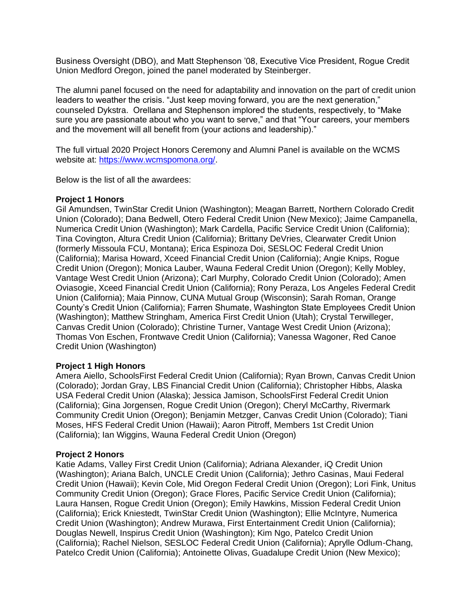Business Oversight (DBO), and Matt Stephenson '08, Executive Vice President, Rogue Credit Union Medford Oregon, joined the panel moderated by Steinberger.

The alumni panel focused on the need for adaptability and innovation on the part of credit union leaders to weather the crisis. "Just keep moving forward, you are the next generation," counseled Dykstra. Orellana and Stephenson implored the students, respectively, to "Make sure you are passionate about who you want to serve," and that "Your careers, your members and the movement will all benefit from (your actions and leadership)."

The full virtual 2020 Project Honors Ceremony and Alumni Panel is available on the WCMS website at: [https://www.wcmspomona.org/.](https://linkprotect.cudasvc.com/url?a=https%3a%2f%2fwww.wcmspomona.org%2f&c=E,1,sfQqBfABDEqSyJQf-ni7qpOppSD9ZbaVQFYxb7jYcwy9cNynUyXlFMgJu90F-x-BI_42UUGz3rgHwdmlW6l5B8Ds1n6kEkz7LglwfbCWtvC9bw0dPsGaAXjYv3s,&typo=1)

Below is the list of all the awardees:

#### **Project 1 Honors**

Gil Amundsen, TwinStar Credit Union (Washington); Meagan Barrett, Northern Colorado Credit Union (Colorado); Dana Bedwell, Otero Federal Credit Union (New Mexico); Jaime Campanella, Numerica Credit Union (Washington); Mark Cardella, Pacific Service Credit Union (California); Tina Covington, Altura Credit Union (California); Brittany DeVries, Clearwater Credit Union (formerly Missoula FCU, Montana); Erica Espinoza Doi, SESLOC Federal Credit Union (California); Marisa Howard, Xceed Financial Credit Union (California); Angie Knips, Rogue Credit Union (Oregon); Monica Lauber, Wauna Federal Credit Union (Oregon); Kelly Mobley, Vantage West Credit Union (Arizona); Carl Murphy, Colorado Credit Union (Colorado); Amen Oviasogie, Xceed Financial Credit Union (California); Rony Peraza, Los Angeles Federal Credit Union (California); Maia Pinnow, CUNA Mutual Group (Wisconsin); Sarah Roman, Orange County's Credit Union (California); Farren Shumate, Washington State Employees Credit Union (Washington); Matthew Stringham, America First Credit Union (Utah); Crystal Terwilleger, Canvas Credit Union (Colorado); Christine Turner, Vantage West Credit Union (Arizona); Thomas Von Eschen, Frontwave Credit Union (California); Vanessa Wagoner, Red Canoe Credit Union (Washington)

## **Project 1 High Honors**

Amera Aiello, SchoolsFirst Federal Credit Union (California); Ryan Brown, Canvas Credit Union (Colorado); Jordan Gray, LBS Financial Credit Union (California); Christopher Hibbs, Alaska USA Federal Credit Union (Alaska); Jessica Jamison, SchoolsFirst Federal Credit Union (California); Gina Jorgensen, Rogue Credit Union (Oregon); Cheryl McCarthy, Rivermark Community Credit Union (Oregon); Benjamin Metzger, Canvas Credit Union (Colorado); Tiani Moses, HFS Federal Credit Union (Hawaii); Aaron Pitroff, Members 1st Credit Union (California); Ian Wiggins, Wauna Federal Credit Union (Oregon)

#### **Project 2 Honors**

Katie Adams, Valley First Credit Union (California); Adriana Alexander, iQ Credit Union (Washington); Ariana Balch, UNCLE Credit Union (California); Jethro Casinas, Maui Federal Credit Union (Hawaii); Kevin Cole, Mid Oregon Federal Credit Union (Oregon); Lori Fink, Unitus Community Credit Union (Oregon); Grace Flores, Pacific Service Credit Union (California); Laura Hansen, Rogue Credit Union (Oregon); Emily Hawkins, Mission Federal Credit Union (California); Erick Kniestedt, TwinStar Credit Union (Washington); Ellie McIntyre, Numerica Credit Union (Washington); Andrew Murawa, First Entertainment Credit Union (California); Douglas Newell, Inspirus Credit Union (Washington); Kim Ngo, Patelco Credit Union (California); Rachel Nielson, SESLOC Federal Credit Union (California); Aprylle Odlum-Chang, Patelco Credit Union (California); Antoinette Olivas, Guadalupe Credit Union (New Mexico);